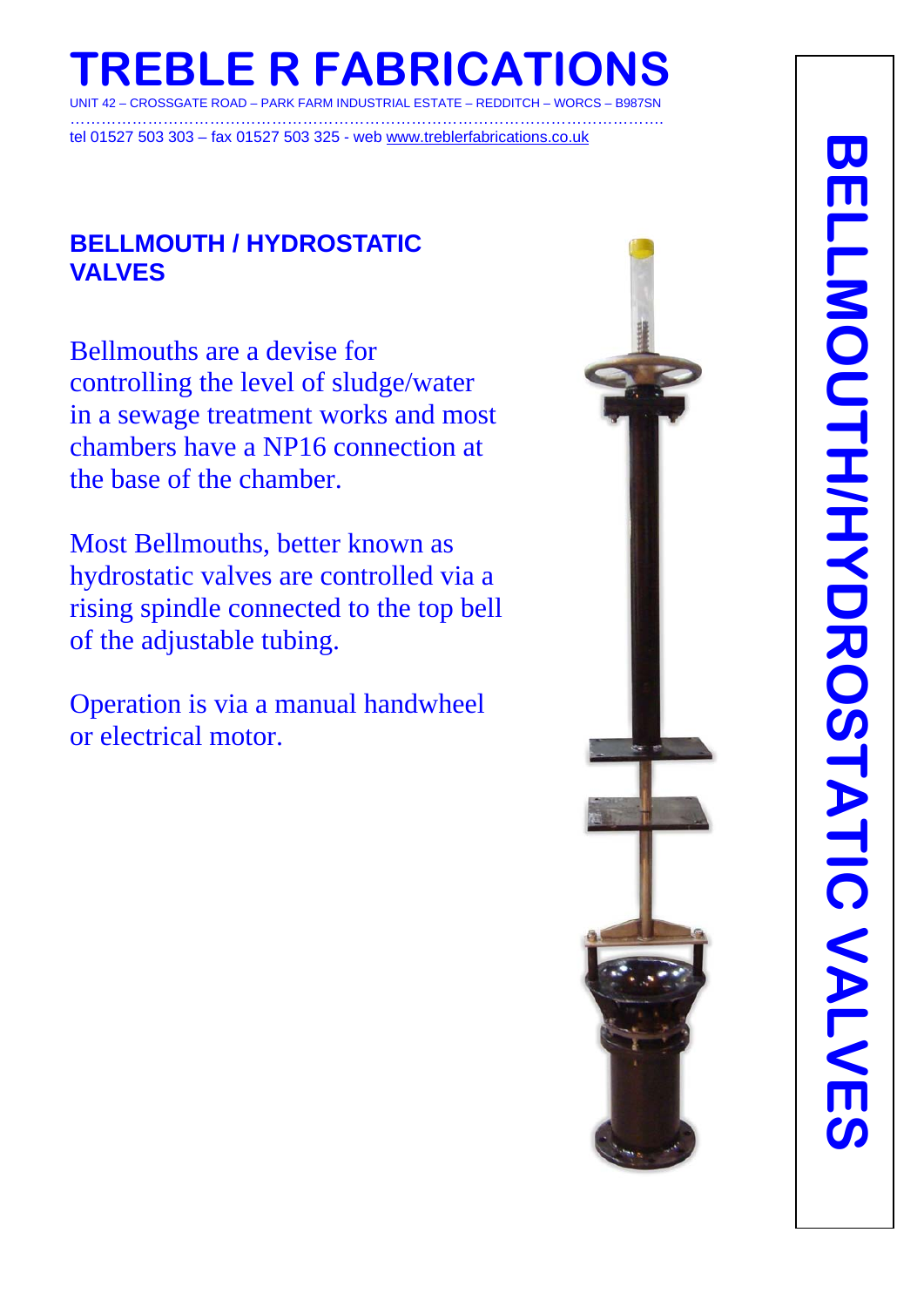# **TREBLE R FABRICATION** - CROSSGATE ROAD – PARK FARM INDUSTRIAL ESTATE – REDDITCH –

……………………………………………………………………………………………………. tel 01527 503 303 – fax 01527 503 325 - web www.treblerfabrications.co.uk

## **BELLMOUTH / HYDROSTATIC VALVES**

Bellmouths are a devise for controlling the level of sludge/water in a sewage treatment works and most chambers have a NP16 connection at the base of the chamber.

Most Bellmouths, better known as hydrostatic valves are controlled via a rising spindle connected to the top bell of the adjustable tubing.

Operation is via a manual handwheel or electrical motor.

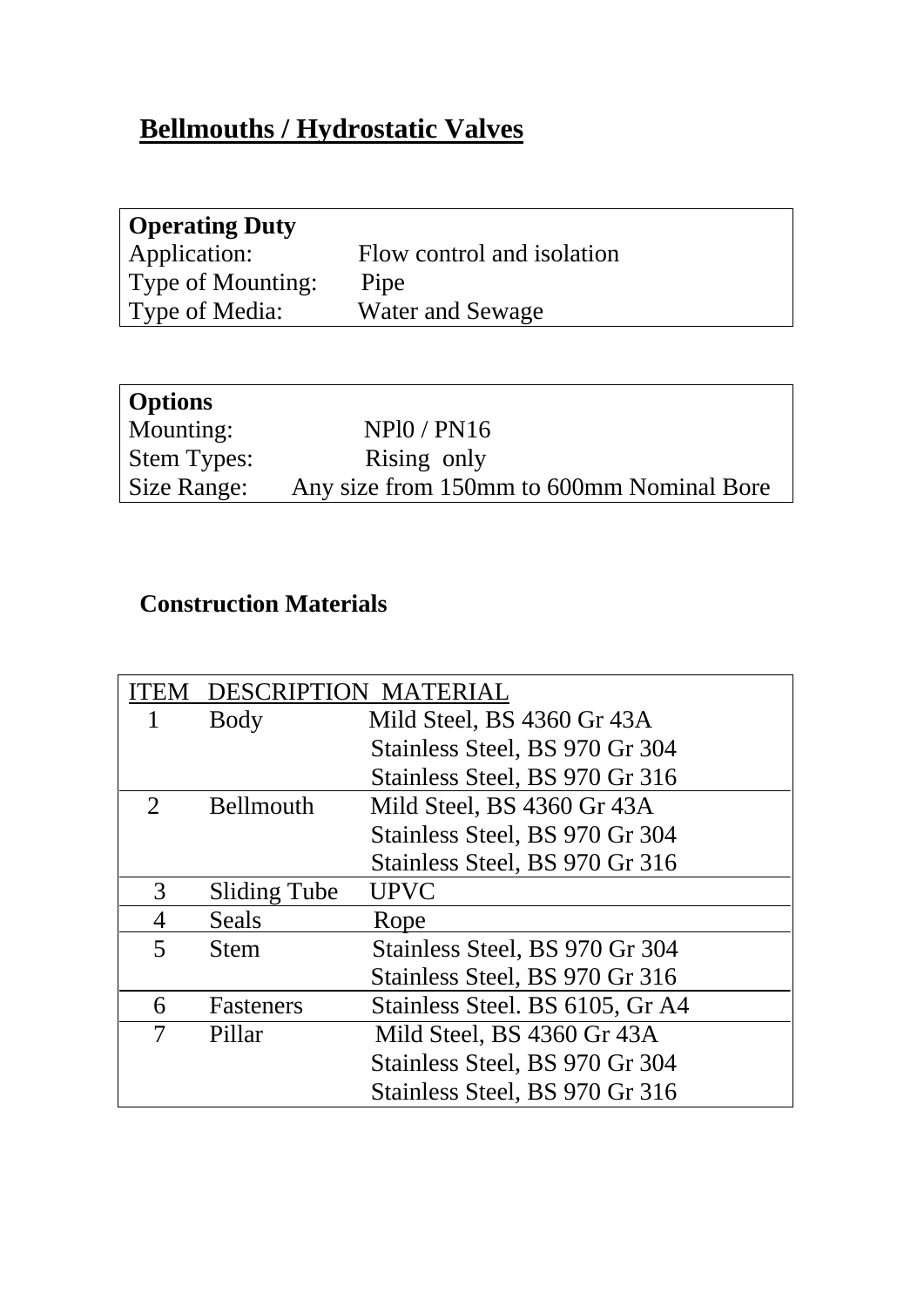# **Bellmouths / Hydrostatic Valves**

| <b>Operating Duty</b> |                            |
|-----------------------|----------------------------|
| Application:          | Flow control and isolation |
| Type of Mounting:     | Pipe                       |
| Type of Media:        | Water and Sewage           |

| Options            |                                           |
|--------------------|-------------------------------------------|
| Mounting:          | NP10 / PN16                               |
| <b>Stem Types:</b> | Rising only                               |
| Size Range:        | Any size from 150mm to 600mm Nominal Bore |

# **Construction Materials**

| <b>ITEM</b>                 | <b>DESCRIPTION MATERIAL</b> |                                 |
|-----------------------------|-----------------------------|---------------------------------|
| 1                           | Body                        | Mild Steel, BS 4360 Gr 43A      |
|                             |                             | Stainless Steel, BS 970 Gr 304  |
|                             |                             | Stainless Steel, BS 970 Gr 316  |
| $\mathcal{D}_{\mathcal{L}}$ | <b>Bellmouth</b>            | Mild Steel, BS 4360 Gr 43A      |
|                             |                             | Stainless Steel, BS 970 Gr 304  |
|                             |                             | Stainless Steel, BS 970 Gr 316  |
| 3                           | <b>Sliding Tube</b>         | <b>UPVC</b>                     |
| 4                           | Seals                       | Rope                            |
| $\overline{\mathbf{5}}$     | Stem                        | Stainless Steel, BS 970 Gr 304  |
|                             |                             | Stainless Steel, BS 970 Gr 316  |
| 6                           | Fasteners                   | Stainless Steel. BS 6105, Gr A4 |
| 7                           | Pillar                      | Mild Steel, BS 4360 Gr 43A      |
|                             |                             | Stainless Steel, BS 970 Gr 304  |
|                             |                             | Stainless Steel, BS 970 Gr 316  |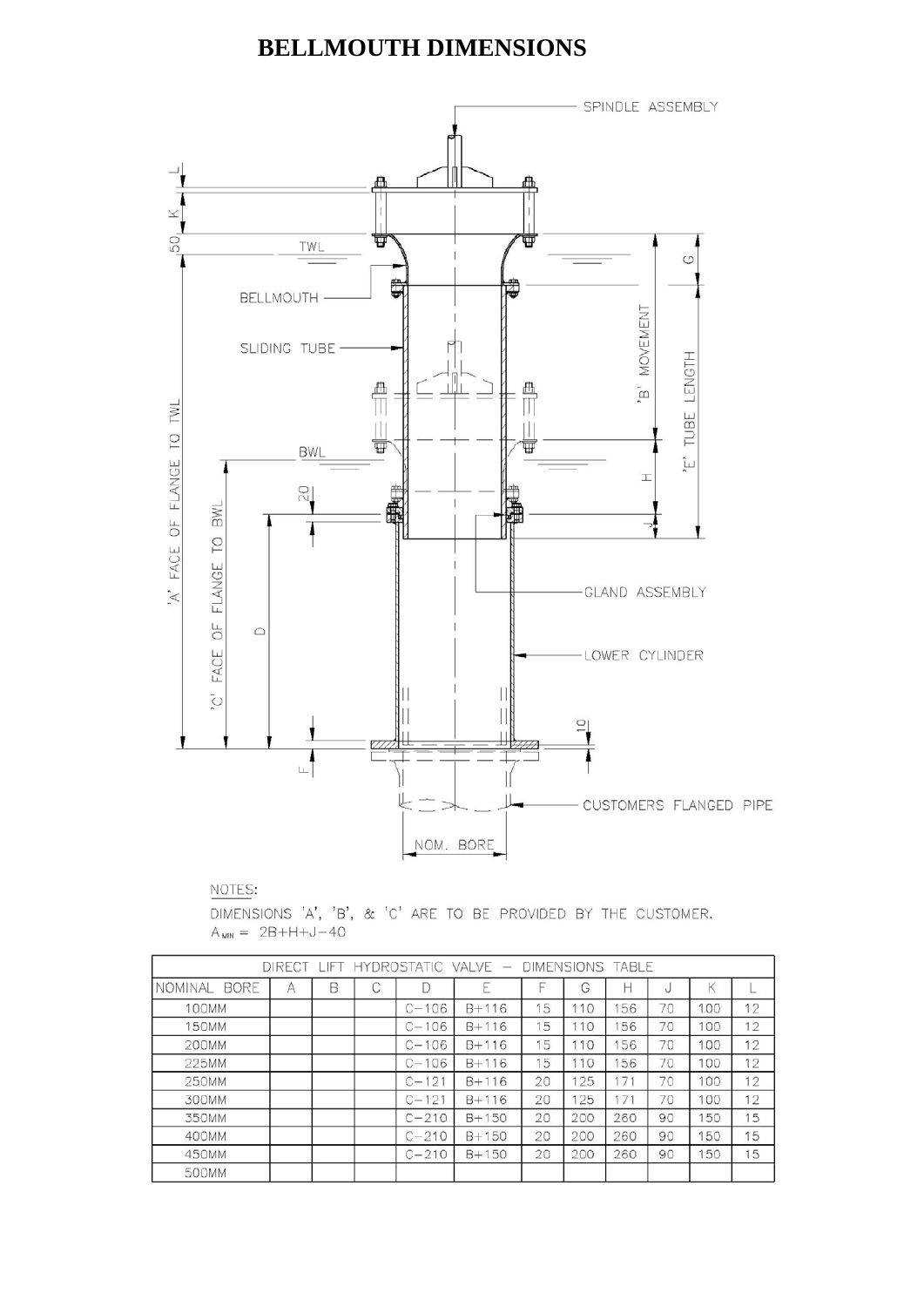### **BELLMOUTH DIMENSIONS**



NOTES:

DIMENSIONS 'A', 'B', & 'C' ARE TO BE PROVIDED BY THE CUSTOMER.  $A_{MIN} = 2B + H + J - 40$ 

| DIRECT LIFT HYDROSTATIC VALVE - DIMENSIONS TABLE |   |   |   |           |           |    |     |     |    |     |    |
|--------------------------------------------------|---|---|---|-----------|-----------|----|-----|-----|----|-----|----|
| <b>BORE</b><br>NOMINAL                           | A | B | С |           | E         |    | G   | н   | Ù. | Κ   |    |
| <b>100MM</b>                                     |   |   |   | $C - 106$ | $B + 116$ | 15 | 110 | 56  | 70 | 100 | 12 |
| 150MM                                            |   |   |   | $C - 106$ | $B + 116$ | 15 | 10  | 56  | 70 | 100 | 12 |
| 200MM                                            |   |   |   | $C - 106$ | $B + 116$ | 15 | 10  | 56  | 70 | 100 | 12 |
| 225MM                                            |   |   |   | $C - 106$ | $B + 116$ | 15 | 10  | 56  | 70 | 100 | 12 |
| 250MM                                            |   |   |   | $C - 121$ | $B + 116$ | 20 | 25  | 17  | 70 | 100 | 12 |
| 300MM                                            |   |   |   | $C - 121$ | $B + 116$ | 20 | 125 | 171 | 70 | 100 | 12 |
| 350MM                                            |   |   |   | $C - 210$ | $B + 150$ | 20 | 200 | 260 | 90 | 150 | 15 |
| 400MM                                            |   |   |   | $C - 210$ | $B + 150$ | 20 | 200 | 260 | 90 | 150 | 15 |
| 450MM                                            |   |   |   | $C-210$   | $B + 150$ | 20 | 200 | 260 | 90 | 150 | 15 |
| 500MM                                            |   |   |   |           |           |    |     |     |    |     |    |